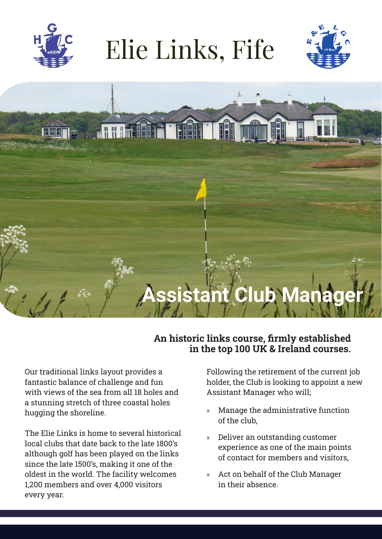

## Elie Links, Fife





## **An historic links course, firmly established in the top 100 UK & Ireland courses.**

Our traditional links layout provides a fantastic balance of challenge and fun with views of the sea from all 18 holes and a stunning stretch of three coastal holes hugging the shoreline.

The Elie Links is home to several historical local clubs that date back to the late 1800's although golf has been played on the links since the late 1500's, making it one of the oldest in the world. The facility welcomes 1,200 members and over 4,000 visitors every year.

Following the retirement of the current job holder, the Club is looking to appoint a new Assistant Manager who will;

- » Manage the administrative function of the club,
- » Deliver an outstanding customer experience as one of the main points of contact for members and visitors,
- » Act on behalf of the Club Manager in their absence.